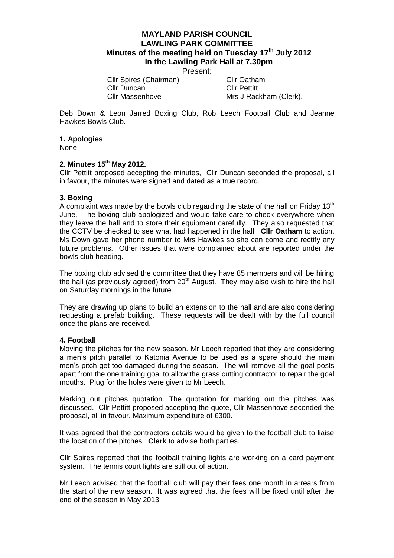# **MAYLAND PARISH COUNCIL LAWLING PARK COMMITTEE Minutes of the meeting held on Tuesday 17th July 2012 In the Lawling Park Hall at 7.30pm**

Present:

Cllr Spires (Chairman) Cllr Oatham Cllr Duncan<br>Cllr Massenhove Mrs J Rack

Mrs J Rackham (Clerk).

Deb Down & Leon Jarred Boxing Club, Rob Leech Football Club and Jeanne Hawkes Bowls Club.

#### **1. Apologies**

None

## **2. Minutes 15th May 2012.**

Cllr Pettitt proposed accepting the minutes, Cllr Duncan seconded the proposal, all in favour, the minutes were signed and dated as a true record.

## **3. Boxing**

A complaint was made by the bowls club regarding the state of the hall on Friday 13<sup>th</sup> June. The boxing club apologized and would take care to check everywhere when they leave the hall and to store their equipment carefully. They also requested that the CCTV be checked to see what had happened in the hall. **Cllr Oatham** to action. Ms Down gave her phone number to Mrs Hawkes so she can come and rectify any future problems. Other issues that were complained about are reported under the bowls club heading.

The boxing club advised the committee that they have 85 members and will be hiring the hall (as previously agreed) from  $20<sup>th</sup>$  August. They may also wish to hire the hall on Saturday mornings in the future.

They are drawing up plans to build an extension to the hall and are also considering requesting a prefab building. These requests will be dealt with by the full council once the plans are received.

#### **4. Football**

Moving the pitches for the new season. Mr Leech reported that they are considering a men's pitch parallel to Katonia Avenue to be used as a spare should the main men's pitch get too damaged during the season. The will remove all the goal posts apart from the one training goal to allow the grass cutting contractor to repair the goal mouths. Plug for the holes were given to Mr Leech.

Marking out pitches quotation. The quotation for marking out the pitches was discussed. Cllr Pettitt proposed accepting the quote, Cllr Massenhove seconded the proposal, all in favour. Maximum expenditure of £300.

It was agreed that the contractors details would be given to the football club to liaise the location of the pitches. **Clerk** to advise both parties.

Cllr Spires reported that the football training lights are working on a card payment system. The tennis court lights are still out of action.

Mr Leech advised that the football club will pay their fees one month in arrears from the start of the new season. It was agreed that the fees will be fixed until after the end of the season in May 2013.